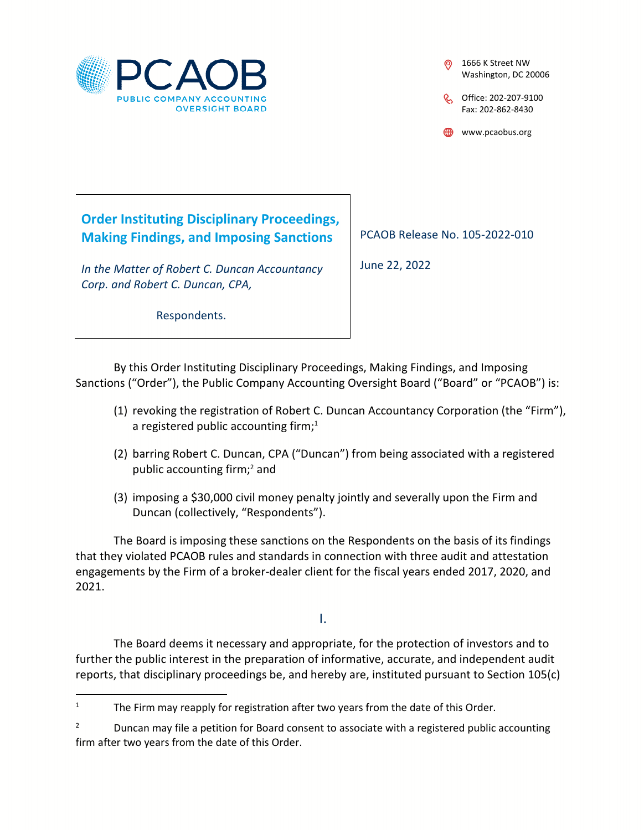

- 1666 K Street NW Washington, DC 20006
- C Office: 202-207-9100 Fax: 202-862-8430

www.pcaobus.org

**Order Instituting Disciplinary Proceedings, Making Findings, and Imposing Sanctions** 

*In the Matter of Robert C. Duncan Accountancy Corp. and Robert C. Duncan, CPA,* 

PCAOB Release No. 105-2022-010

June 22, 2022

Respondents.

By this Order Instituting Disciplinary Proceedings, Making Findings, and Imposing Sanctions ("Order"), the Public Company Accounting Oversight Board ("Board" or "PCAOB") is:

- (1) revoking the registration of Robert C. Duncan Accountancy Corporation (the "Firm"), a registered public accounting firm; $1$
- (2) barring Robert C. Duncan, CPA ("Duncan") from being associated with a registered public accounting firm;<sup>2</sup> and
- (3) imposing a \$30,000 civil money penalty jointly and severally upon the Firm and Duncan (collectively, "Respondents").

The Board is imposing these sanctions on the Respondents on the basis of its findings that they violated PCAOB rules and standards in connection with three audit and attestation engagements by the Firm of a broker-dealer client for the fiscal years ended 2017, 2020, and 2021.

I.

The Board deems it necessary and appropriate, for the protection of investors and to further the public interest in the preparation of informative, accurate, and independent audit reports, that disciplinary proceedings be, and hereby are, instituted pursuant to Section 105(c)

<sup>1</sup> The Firm may reapply for registration after two years from the date of this Order.

<sup>2</sup> Duncan may file a petition for Board consent to associate with a registered public accounting firm after two years from the date of this Order.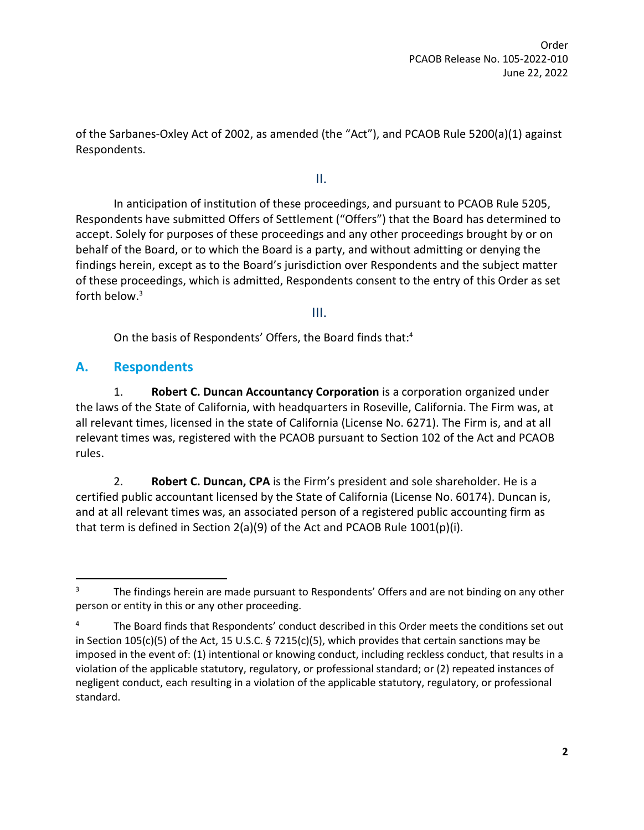Order PCAOB Release No. 105-2022-010 June 22, 2022

of the Sarbanes-Oxley Act of 2002, as amended (the "Act"), and PCAOB Rule 5200(a)(1) against Respondents.

II.

In anticipation of institution of these proceedings, and pursuant to PCAOB Rule 5205, Respondents have submitted Offers of Settlement ("Offers") that the Board has determined to accept. Solely for purposes of these proceedings and any other proceedings brought by or on behalf of the Board, or to which the Board is a party, and without admitting or denying the findings herein, except as to the Board's jurisdiction over Respondents and the subject matter of these proceedings, which is admitted, Respondents consent to the entry of this Order as set forth below.<sup>3</sup>

III.

On the basis of Respondents' Offers, the Board finds that:<sup>4</sup>

### **A. Respondents**

1. **Robert C. Duncan Accountancy Corporation** is a corporation organized under the laws of the State of California, with headquarters in Roseville, California. The Firm was, at all relevant times, licensed in the state of California (License No. 6271). The Firm is, and at all relevant times was, registered with the PCAOB pursuant to Section 102 of the Act and PCAOB rules.

2. **Robert C. Duncan, CPA** is the Firm's president and sole shareholder. He is a certified public accountant licensed by the State of California (License No. 60174). Duncan is, and at all relevant times was, an associated person of a registered public accounting firm as that term is defined in Section 2(a)(9) of the Act and PCAOB Rule 1001(p)(i).

<sup>3</sup> The findings herein are made pursuant to Respondents' Offers and are not binding on any other person or entity in this or any other proceeding.

<sup>4</sup> The Board finds that Respondents' conduct described in this Order meets the conditions set out in Section 105(c)(5) of the Act, 15 U.S.C. § 7215(c)(5), which provides that certain sanctions may be imposed in the event of: (1) intentional or knowing conduct, including reckless conduct, that results in a violation of the applicable statutory, regulatory, or professional standard; or (2) repeated instances of negligent conduct, each resulting in a violation of the applicable statutory, regulatory, or professional standard.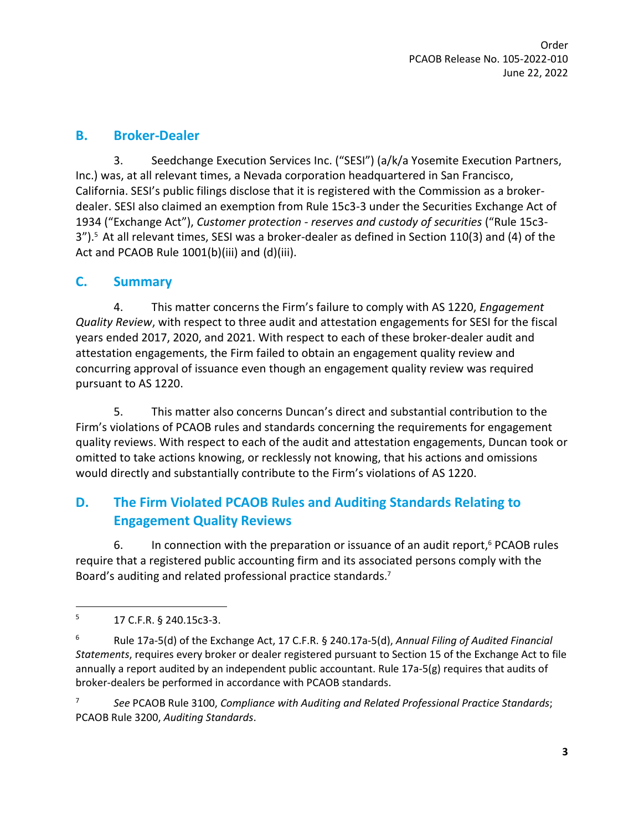### **B. Broker-Dealer**

3. Seedchange Execution Services Inc. ("SESI") (a/k/a Yosemite Execution Partners, Inc.) was, at all relevant times, a Nevada corporation headquartered in San Francisco, California. SESI's public filings disclose that it is registered with the Commission as a brokerdealer. SESI also claimed an exemption from Rule 15c3-3 under the Securities Exchange Act of 1934 ("Exchange Act"), *Customer protection - reserves and custody of securities* ("Rule 15c3- 3").<sup>5</sup> At all relevant times, SESI was a broker-dealer as defined in Section 110(3) and (4) of the Act and PCAOB Rule 1001(b)(iii) and (d)(iii).

### **C. Summary**

4. This matter concerns the Firm's failure to comply with AS 1220, *Engagement Quality Review*, with respect to three audit and attestation engagements for SESI for the fiscal years ended 2017, 2020, and 2021. With respect to each of these broker-dealer audit and attestation engagements, the Firm failed to obtain an engagement quality review and concurring approval of issuance even though an engagement quality review was required pursuant to AS 1220.

5. This matter also concerns Duncan's direct and substantial contribution to the Firm's violations of PCAOB rules and standards concerning the requirements for engagement quality reviews. With respect to each of the audit and attestation engagements, Duncan took or omitted to take actions knowing, or recklessly not knowing, that his actions and omissions would directly and substantially contribute to the Firm's violations of AS 1220.

## **D. The Firm Violated PCAOB Rules and Auditing Standards Relating to Engagement Quality Reviews**

6. In connection with the preparation or issuance of an audit report, $6$  PCAOB rules require that a registered public accounting firm and its associated persons comply with the Board's auditing and related professional practice standards.<sup>7</sup>

7 *See* PCAOB Rule 3100, *Compliance with Auditing and Related Professional Practice Standards*; PCAOB Rule 3200, *Auditing Standards*.

<sup>5</sup> 17 C.F.R. § 240.15c3-3.

<sup>6</sup> Rule 17a-5(d) of the Exchange Act, 17 C.F.R. § 240.17a-5(d), *Annual Filing of Audited Financial Statements*, requires every broker or dealer registered pursuant to Section 15 of the Exchange Act to file annually a report audited by an independent public accountant. Rule 17a-5(g) requires that audits of broker-dealers be performed in accordance with PCAOB standards.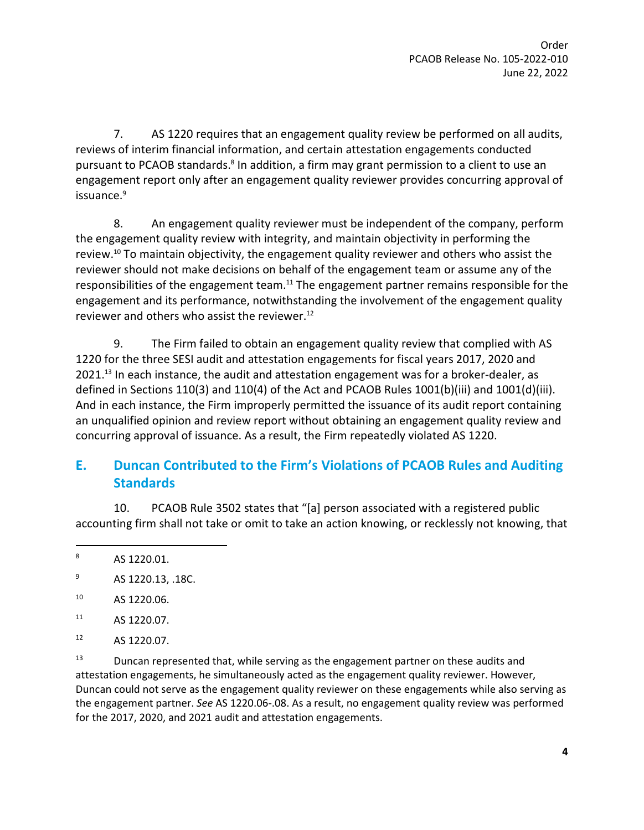7. AS 1220 requires that an engagement quality review be performed on all audits, reviews of interim financial information, and certain attestation engagements conducted pursuant to PCAOB standards.<sup>8</sup> In addition, a firm may grant permission to a client to use an engagement report only after an engagement quality reviewer provides concurring approval of issuance.<sup>9</sup>

8. An engagement quality reviewer must be independent of the company, perform the engagement quality review with integrity, and maintain objectivity in performing the review.<sup>10</sup> To maintain objectivity, the engagement quality reviewer and others who assist the reviewer should not make decisions on behalf of the engagement team or assume any of the responsibilities of the engagement team.<sup>11</sup> The engagement partner remains responsible for the engagement and its performance, notwithstanding the involvement of the engagement quality reviewer and others who assist the reviewer.<sup>12</sup>

9. The Firm failed to obtain an engagement quality review that complied with AS 1220 for the three SESI audit and attestation engagements for fiscal years 2017, 2020 and 2021.<sup>13</sup> In each instance, the audit and attestation engagement was for a broker-dealer, as defined in Sections 110(3) and 110(4) of the Act and PCAOB Rules 1001(b)(iii) and 1001(d)(iii). And in each instance, the Firm improperly permitted the issuance of its audit report containing an unqualified opinion and review report without obtaining an engagement quality review and concurring approval of issuance. As a result, the Firm repeatedly violated AS 1220.

# **E. Duncan Contributed to the Firm's Violations of PCAOB Rules and Auditing Standards**

10. PCAOB Rule 3502 states that "[a] person associated with a registered public accounting firm shall not take or omit to take an action knowing, or recklessly not knowing, that

8 AS 1220.01.

- <sup>10</sup> AS 1220.06.
- <sup>11</sup> AS 1220.07.
- <sup>12</sup> AS 1220.07.

 $13$  Duncan represented that, while serving as the engagement partner on these audits and attestation engagements, he simultaneously acted as the engagement quality reviewer. However, Duncan could not serve as the engagement quality reviewer on these engagements while also serving as the engagement partner. *See* AS 1220.06-.08. As a result, no engagement quality review was performed for the 2017, 2020, and 2021 audit and attestation engagements.

<sup>9</sup> AS 1220.13, .18C.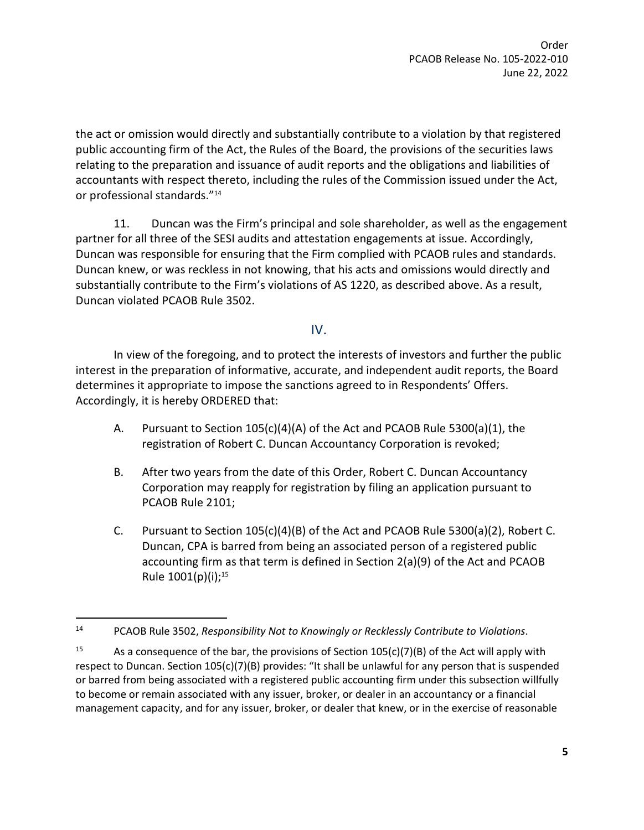Order PCAOB Release No. 105-2022-010 June 22, 2022

the act or omission would directly and substantially contribute to a violation by that registered public accounting firm of the Act, the Rules of the Board, the provisions of the securities laws relating to the preparation and issuance of audit reports and the obligations and liabilities of accountants with respect thereto, including the rules of the Commission issued under the Act, or professional standards."<sup>14</sup>

11. Duncan was the Firm's principal and sole shareholder, as well as the engagement partner for all three of the SESI audits and attestation engagements at issue. Accordingly, Duncan was responsible for ensuring that the Firm complied with PCAOB rules and standards. Duncan knew, or was reckless in not knowing, that his acts and omissions would directly and substantially contribute to the Firm's violations of AS 1220, as described above. As a result, Duncan violated PCAOB Rule 3502.

### IV.

In view of the foregoing, and to protect the interests of investors and further the public interest in the preparation of informative, accurate, and independent audit reports, the Board determines it appropriate to impose the sanctions agreed to in Respondents' Offers. Accordingly, it is hereby ORDERED that:

- A. Pursuant to Section 105(c)(4)(A) of the Act and PCAOB Rule 5300(a)(1), the registration of Robert C. Duncan Accountancy Corporation is revoked;
- B. After two years from the date of this Order, Robert C. Duncan Accountancy Corporation may reapply for registration by filing an application pursuant to PCAOB Rule 2101;
- C. Pursuant to Section 105(c)(4)(B) of the Act and PCAOB Rule 5300(a)(2), Robert C. Duncan, CPA is barred from being an associated person of a registered public accounting firm as that term is defined in Section 2(a)(9) of the Act and PCAOB Rule  $1001(p)(i)$ ;<sup>15</sup>

<sup>14</sup> PCAOB Rule 3502, *Responsibility Not to Knowingly or Recklessly Contribute to Violations*.

<sup>&</sup>lt;sup>15</sup> As a consequence of the bar, the provisions of Section  $105(c)(7)(B)$  of the Act will apply with respect to Duncan. Section 105(c)(7)(B) provides: "It shall be unlawful for any person that is suspended or barred from being associated with a registered public accounting firm under this subsection willfully to become or remain associated with any issuer, broker, or dealer in an accountancy or a financial management capacity, and for any issuer, broker, or dealer that knew, or in the exercise of reasonable